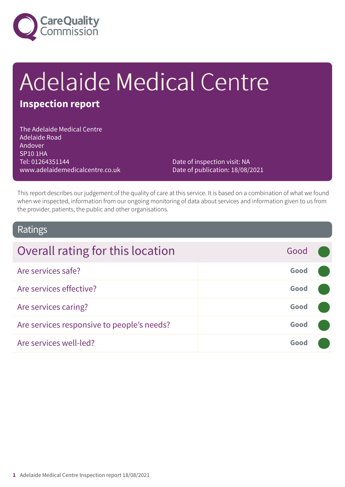

# Adelaide Medical Centre

# **Inspection report**

The Adelaide Medical Centre Adelaide Road Andover SP10 1HA Tel: 01264351144 www.adelaidemedicalcentre.co.uk

Date of inspection visit: NA Date of publication: 18/08/2021

This report describes our judgement of the quality of care at this service. It is based on a combination of what we found when we inspected, information from our ongoing monitoring of data about services and information given to us from the provider, patients, the public and other organisations.

### Ratings

| Overall rating for this location           | Good |  |
|--------------------------------------------|------|--|
| Are services safe?                         | Good |  |
| Are services effective?                    | Good |  |
| Are services caring?                       | Good |  |
| Are services responsive to people's needs? | Good |  |
| Are services well-led?                     | Good |  |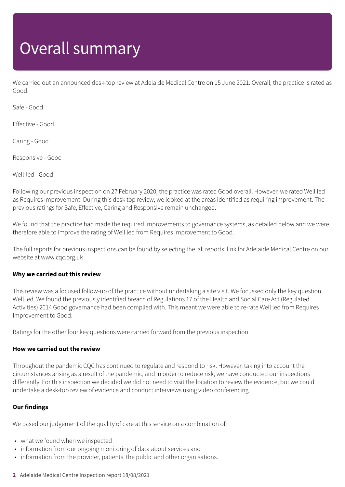# Overall summary

We carried out an announced desk-top review at Adelaide Medical Centre on 15 June 2021. Overall, the practice is rated as Good.

Safe - Good

Effective - Good

Caring - Good

Responsive - Good

Well-led - Good

Following our previous inspection on 27 February 2020, the practice was rated Good overall. However, we rated Well led as Requires Improvement. During this desk top review, we looked at the areas identified as requiring improvement. The previous ratings for Safe, Effective, Caring and Responsive remain unchanged.

We found that the practice had made the required improvements to governance systems, as detailed below and we were therefore able to improve the rating of Well led from Requires Improvement to Good.

The full reports for previous inspections can be found by selecting the 'all reports' link for Adelaide Medical Centre on our website at www.cqc.org.uk

### **Why we carried out this review**

This review was a focused follow-up of the practice without undertaking a site visit. We focussed only the key question Well led. We found the previously identified breach of Regulations 17 of the Health and Social Care Act (Regulated Activities) 2014 Good governance had been complied with. This meant we were able to re-rate Well led from Requires Improvement to Good.

Ratings for the other four key questions were carried forward from the previous inspection.

### **How we carried out the review**

Throughout the pandemic CQC has continued to regulate and respond to risk. However, taking into account the circumstances arising as a result of the pandemic, and in order to reduce risk, we have conducted our inspections differently. For this inspection we decided we did not need to visit the location to review the evidence, but we could undertake a desk-top review of evidence and conduct interviews using video conferencing.

### **Our findings**

We based our judgement of the quality of care at this service on a combination of:

- what we found when we inspected
- information from our ongoing monitoring of data about services and
- information from the provider, patients, the public and other organisations.
- **2** Adelaide Medical Centre Inspection report 18/08/2021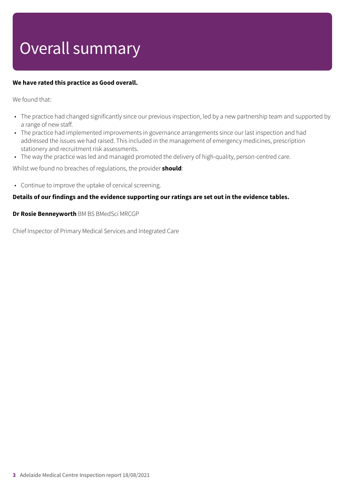# Overall summary

### **We have rated this practice as Good overall.**

We found that:

- The practice had changed significantly since our previous inspection, led by a new partnership team and supported by a range of new staff.
- The practice had implemented improvements in governance arrangements since our last inspection and had addressed the issues we had raised. This included in the management of emergency medicines, prescription stationery and recruitment risk assessments.
- The way the practice was led and managed promoted the delivery of high-quality, person-centred care.

Whilst we found no breaches of regulations, the provider **should**:

• Continue to improve the uptake of cervical screening.

### **Details of our findings and the evidence supporting our ratings are set out in the evidence tables.**

**Dr Rosie Benneyworth** BM BS BMedSci MRCGP

Chief Inspector of Primary Medical Services and Integrated Care